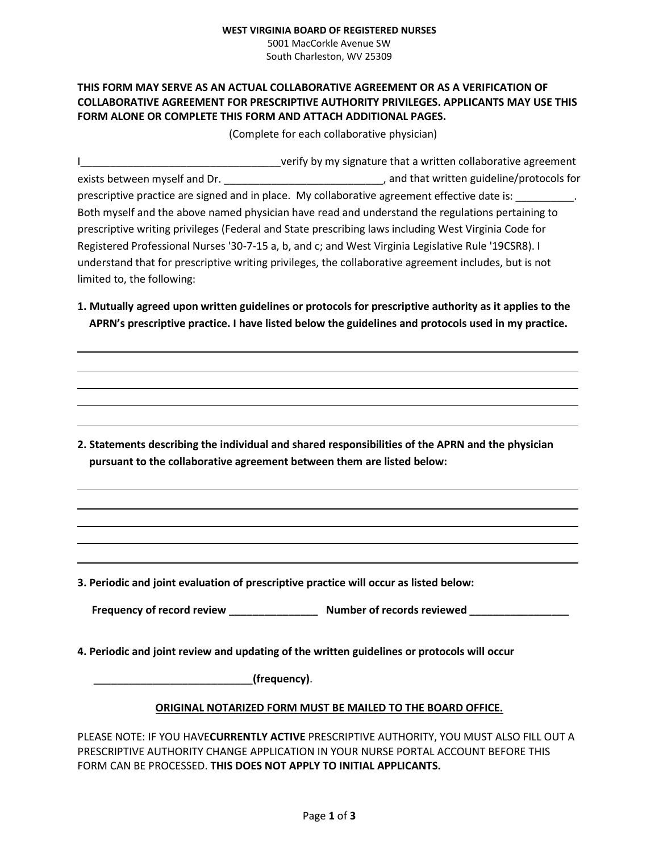#### **WEST VIRGINIA BOARD OF REGISTERED NURSES** 5001 MacCorkle Avenue SW

South Charleston, WV 25309

# **THIS FORM MAY SERVE AS AN ACTUAL COLLABORATIVE AGREEMENT OR AS A VERIFICATION OF COLLABORATIVE AGREEMENT FOR PRESCRIPTIVE AUTHORITY PRIVILEGES. APPLICANTS MAY USE THIS FORM ALONE OR COMPLETE THIS FORM AND ATTACH ADDITIONAL PAGES.**

(Complete for each collaborative physician)

I\_\_\_\_\_\_\_\_\_\_\_\_\_\_\_\_\_\_\_\_\_\_\_\_\_\_\_\_\_\_\_\_\_\_verify by my signature that a written collaborative agreement exists between myself and Dr. \_\_\_\_\_\_\_\_\_\_\_\_\_\_\_\_\_\_\_\_\_\_\_\_\_\_\_, and that written guideline/protocols for prescriptive practice are signed and in place. My collaborative agreement effective date is: Both myself and the above named physician have read and understand the regulations pertaining to prescriptive writing privileges (Federal and State prescribing laws including West Virginia Code for Registered Professional Nurses '30-7-15 a, b, and c; and West Virginia Legislative Rule '19CSR8). I understand that for prescriptive writing privileges, the collaborative agreement includes, but is not limited to, the following:

**1. Mutually agreed upon written guidelines or protocols for prescriptive authority as it applies to the APRN's prescriptive practice. I have listed below the guidelines and protocols used in my practice.**

**2. Statements describing the individual and shared responsibilities of the APRN and the physician pursuant to the collaborative agreement between them are listed below:**

**3. Periodic and joint evaluation of prescriptive practice will occur as listed below:**

**Frequency of record review \_\_\_\_\_\_\_\_\_\_\_\_\_\_\_ Number of records reviewed \_\_\_\_\_\_\_\_\_\_\_\_\_\_\_\_\_**

**4. Periodic and joint review and updating of the written guidelines or protocols will occur**

\_\_\_\_\_\_\_\_\_\_\_\_\_\_\_\_\_\_\_\_\_\_\_\_\_\_\_**(frequency)**.

### **ORIGINAL NOTARIZED FORM MUST BE MAILED TO THE BOARD OFFICE.**

PLEASE NOTE: IF YOU HAVE**CURRENTLY ACTIVE** PRESCRIPTIVE AUTHORITY, YOU MUST ALSO FILL OUT A PRESCRIPTIVE AUTHORITY CHANGE APPLICATION IN YOUR NURSE PORTAL ACCOUNT BEFORE THIS FORM CAN BE PROCESSED. **THIS DOES NOT APPLY TO INITIAL APPLICANTS.**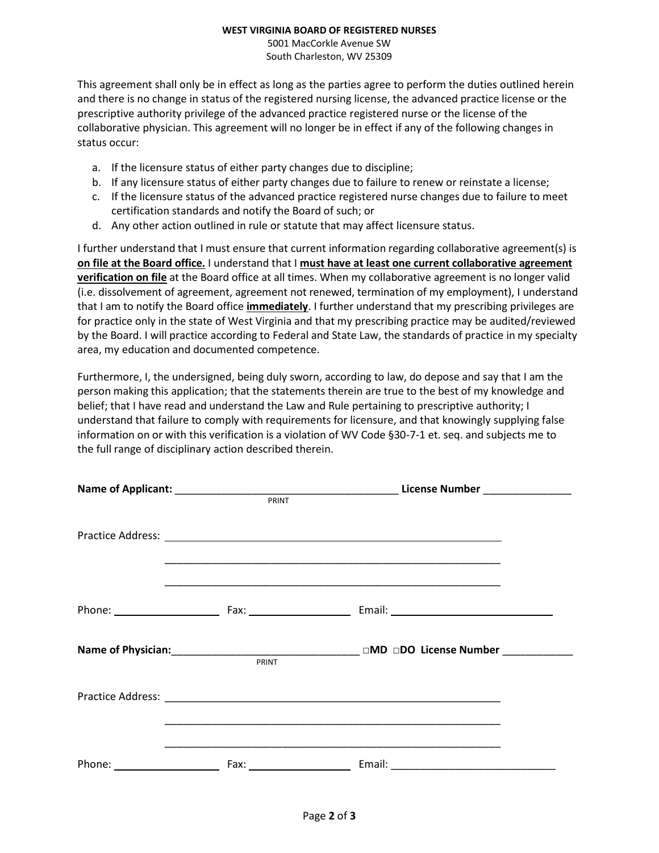#### **WEST VIRGINIA BOARD OF REGISTERED NURSES**

5001 MacCorkle Avenue SW South Charleston, WV 25309

This agreement shall only be in effect as long as the parties agree to perform the duties outlined herein and there is no change in status of the registered nursing license, the advanced practice license or the prescriptive authority privilege of the advanced practice registered nurse or the license of the collaborative physician. This agreement will no longer be in effect if any of the following changes in status occur:

- a. If the licensure status of either party changes due to discipline;
- b. If any licensure status of either party changes due to failure to renew or reinstate a license;
- c. If the licensure status of the advanced practice registered nurse changes due to failure to meet certification standards and notify the Board of such; or
- d. Any other action outlined in rule or statute that may affect licensure status.

I further understand that I must ensure that current information regarding collaborative agreement(s) is **on file at the Board office.** I understand that I **must have at least one current collaborative agreement verification on file** at the Board office at all times. When my collaborative agreement is no longer valid (i.e. dissolvement of agreement, agreement not renewed, termination of my employment), I understand that I am to notify the Board office **immediately**. I further understand that my prescribing privileges are for practice only in the state of West Virginia and that my prescribing practice may be audited/reviewed by the Board. I will practice according to Federal and State Law, the standards of practice in my specialty area, my education and documented competence.

Furthermore, I, the undersigned, being duly sworn, according to law, do depose and say that I am the person making this application; that the statements therein are true to the best of my knowledge and belief; that I have read and understand the Law and Rule pertaining to prescriptive authority; I understand that failure to comply with requirements for licensure, and that knowingly supplying false information on or with this verification is a violation of WV Code §30-7-1 et. seq. and subjects me to the full range of disciplinary action described therein.

|       | Practice Address: National Address: National Address: National Address: National Address: National Address: National Address: National Address: National Address: National Address: National Address: National Address: Nation |  |
|-------|--------------------------------------------------------------------------------------------------------------------------------------------------------------------------------------------------------------------------------|--|
|       |                                                                                                                                                                                                                                |  |
| PRINT | Name of Physician:___________________________________ □MD □DO License Number ______________                                                                                                                                    |  |
|       | <u> 1989 - Johann Stoff, amerikansk politiker (d. 1989)</u>                                                                                                                                                                    |  |
|       |                                                                                                                                                                                                                                |  |